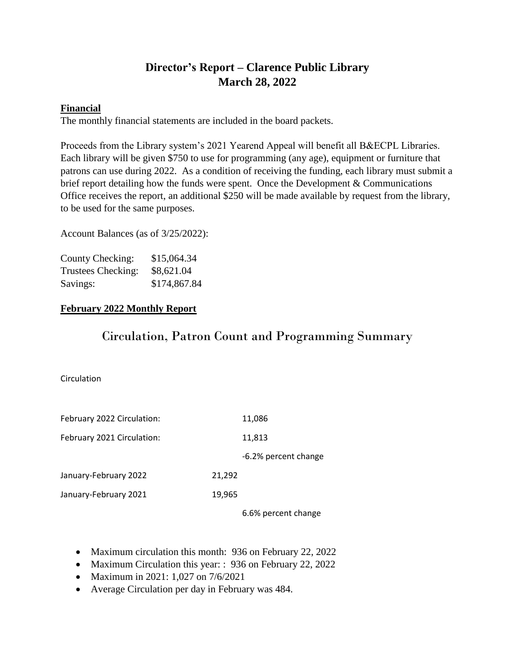# **Director's Report – Clarence Public Library March 28, 2022**

## **Financial**

The monthly financial statements are included in the board packets.

Proceeds from the Library system's 2021 Yearend Appeal will benefit all B&ECPL Libraries. Each library will be given \$750 to use for programming (any age), equipment or furniture that patrons can use during 2022. As a condition of receiving the funding, each library must submit a brief report detailing how the funds were spent. Once the Development & Communications Office receives the report, an additional \$250 will be made available by request from the library, to be used for the same purposes.

Account Balances (as of 3/25/2022):

| County Checking:   | \$15,064.34  |
|--------------------|--------------|
| Trustees Checking: | \$8,621.04   |
| Savings:           | \$174,867.84 |

## **February 2022 Monthly Report**

# Circulation, Patron Count and Programming Summary

Circulation

| February 2022 Circulation: |        | 11,086               |
|----------------------------|--------|----------------------|
| February 2021 Circulation: |        | 11,813               |
|                            |        | -6.2% percent change |
| January-February 2022      | 21,292 |                      |
| January-February 2021      | 19,965 |                      |
|                            |        | 6.6% percent change  |

- Maximum circulation this month: 936 on February 22, 2022
- Maximum Circulation this year: : 936 on February 22, 2022
- Maximum in 2021: 1,027 on 7/6/2021
- Average Circulation per day in February was 484.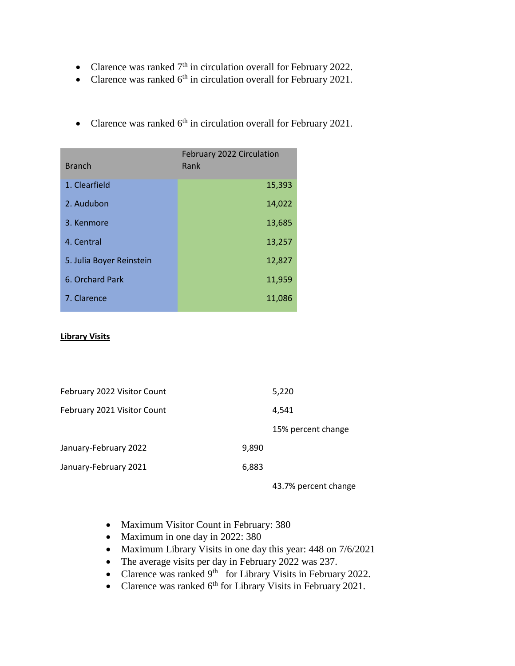- Clarence was ranked  $7<sup>th</sup>$  in circulation overall for February 2022.
- Clarence was ranked  $6<sup>th</sup>$  in circulation overall for February 2021.
- Branch February 2022 Circulation Rank 1. Clearfield 15,393 2. Audubon 14,022 **3. Kenmore** 13,685 4. Central 13,257 5. Julia Boyer Reinstein 12,827 6. Orchard Park 11,959 7. Clarence 11,086
- Clarence was ranked  $6<sup>th</sup>$  in circulation overall for February 2021.

#### **Library Visits**

| February 2022 Visitor Count |       | 5,220              |
|-----------------------------|-------|--------------------|
| February 2021 Visitor Count |       | 4.541              |
|                             |       | 15% percent change |
| January-February 2022       | 9,890 |                    |
| January-February 2021       | 6,883 |                    |
|                             |       |                    |

43.7% percent change

- Maximum Visitor Count in February: 380
- Maximum in one day in 2022: 380
- Maximum Library Visits in one day this year: 448 on 7/6/2021
- The average visits per day in February 2022 was 237.
- Clarence was ranked  $9<sup>th</sup>$  for Library Visits in February 2022.
- Clarence was ranked  $6<sup>th</sup>$  for Library Visits in February 2021.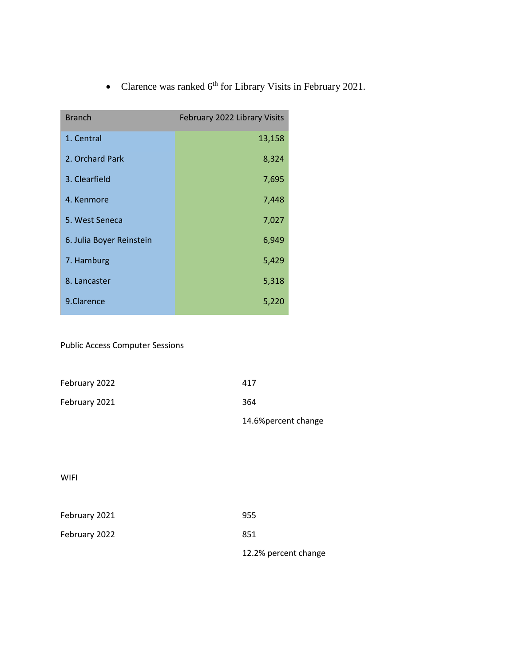• Clarence was ranked  $6<sup>th</sup>$  for Library Visits in February 2021.

| <b>Branch</b>            | February 2022 Library Visits |
|--------------------------|------------------------------|
| 1. Central               | 13,158                       |
| 2. Orchard Park          | 8,324                        |
| 3. Clearfield            | 7,695                        |
| 4. Kenmore               | 7,448                        |
| 5. West Seneca           | 7,027                        |
| 6. Julia Boyer Reinstein | 6,949                        |
| 7. Hamburg               | 5,429                        |
| 8. Lancaster             | 5,318                        |
| 9.Clarence               | 5,220                        |

Public Access Computer Sessions

|               | 14.6% percent change |
|---------------|----------------------|
| February 2021 | 364                  |
| February 2022 | 417                  |

WIFI

| February 2021 | 955                  |
|---------------|----------------------|
| February 2022 | 851                  |
|               | 12.2% percent change |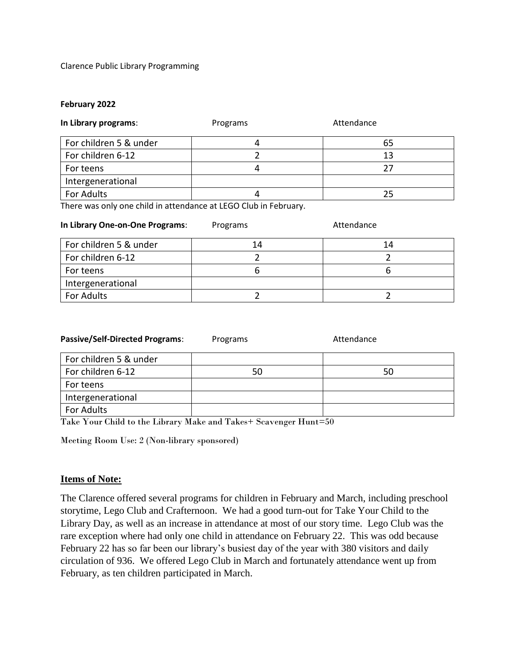Clarence Public Library Programming

#### **February 2022**

| In Library programs:   | Programs | Attendance |
|------------------------|----------|------------|
| For children 5 & under |          | 65         |
| For children 6-12      |          | 13         |
| For teens              |          | 27         |
| Intergenerational      |          |            |
| For Adults             |          | 25         |

There was only one child in attendance at LEGO Club in February.

| In Library One-on-One Programs: | Programs | Attendance |
|---------------------------------|----------|------------|
| For children 5 & under          | 14       | 14         |
| For children 6-12               |          |            |
| For teens                       |          |            |
| Intergenerational               |          |            |
| For Adults                      |          |            |

| <b>Passive/Self-Directed Programs:</b> | Programs | Attendance |
|----------------------------------------|----------|------------|
| For children 5 & under                 |          |            |
| For children 6-12                      | 50       | 50         |
| For teens                              |          |            |
| Intergenerational                      |          |            |
| For Adults                             |          |            |

Take Your Child to the Library Make and Takes+ Scavenger Hunt=50

Meeting Room Use: 2 (Non-library sponsored)

### **Items of Note:**

The Clarence offered several programs for children in February and March, including preschool storytime, Lego Club and Crafternoon. We had a good turn-out for Take Your Child to the Library Day, as well as an increase in attendance at most of our story time. Lego Club was the rare exception where had only one child in attendance on February 22. This was odd because February 22 has so far been our library's busiest day of the year with 380 visitors and daily circulation of 936. We offered Lego Club in March and fortunately attendance went up from February, as ten children participated in March.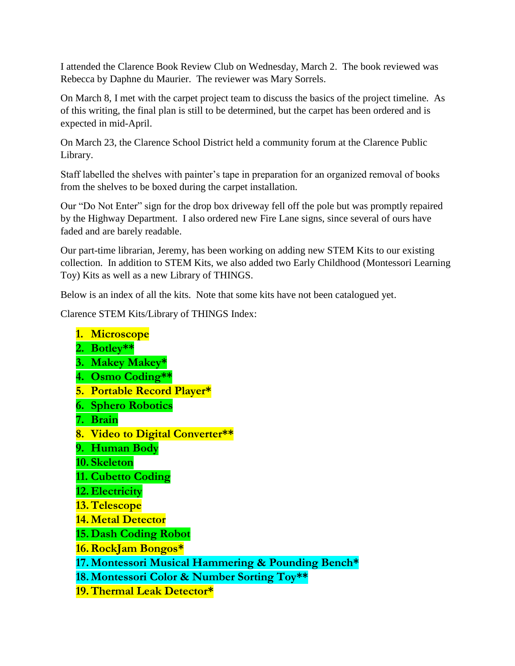I attended the Clarence Book Review Club on Wednesday, March 2. The book reviewed was Rebecca by Daphne du Maurier. The reviewer was Mary Sorrels.

On March 8, I met with the carpet project team to discuss the basics of the project timeline. As of this writing, the final plan is still to be determined, but the carpet has been ordered and is expected in mid-April.

On March 23, the Clarence School District held a community forum at the Clarence Public Library.

Staff labelled the shelves with painter's tape in preparation for an organized removal of books from the shelves to be boxed during the carpet installation.

Our "Do Not Enter" sign for the drop box driveway fell off the pole but was promptly repaired by the Highway Department. I also ordered new Fire Lane signs, since several of ours have faded and are barely readable.

Our part-time librarian, Jeremy, has been working on adding new STEM Kits to our existing collection. In addition to STEM Kits, we also added two Early Childhood (Montessori Learning Toy) Kits as well as a new Library of THINGS.

Below is an index of all the kits. Note that some kits have not been catalogued yet.

Clarence STEM Kits/Library of THINGS Index:

- **1. Microscope**
- **2. Botley\*\***
- **3. Makey Makey\***
- **4. Osmo Coding\*\***
- **5. Portable Record Player\***
- **6. Sphero Robotics**
- **7. Brain**
- **8. Video to Digital Converter\*\***
- **9. Human Body**
- **10. Skeleton**
- **11. Cubetto Coding**
- **12. Electricity**
- **13.Telescope**
- **14. Metal Detector**
- **15. Dash Coding Robot**
- **16.RockJam Bongos\***
- **17. Montessori Musical Hammering & Pounding Bench\***
- **18. Montessori Color & Number Sorting Toy\*\***
- **19.Thermal Leak Detector\***